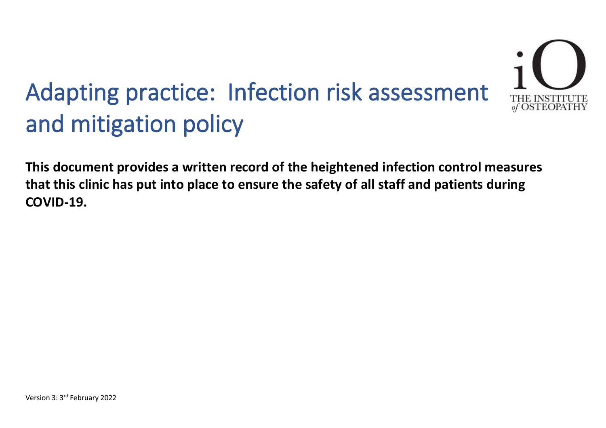

**This document provides a written record of the heightened infection control measures that this clinic has put into place to ensure the safety of all staff and patients during COVID-19.**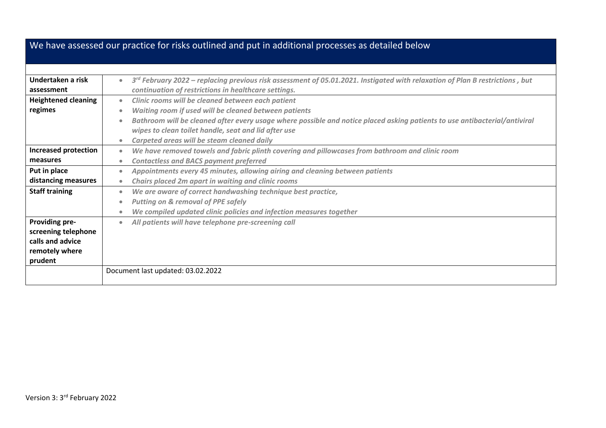|                                                                                               | We have assessed our practice for risks outlined and put in additional processes as detailed below                                                                                                                                                                                                                                                                                                 |
|-----------------------------------------------------------------------------------------------|----------------------------------------------------------------------------------------------------------------------------------------------------------------------------------------------------------------------------------------------------------------------------------------------------------------------------------------------------------------------------------------------------|
|                                                                                               |                                                                                                                                                                                                                                                                                                                                                                                                    |
| Undertaken a risk<br>assessment                                                               | $3^{rd}$ February 2022 – replacing previous risk assessment of 05.01.2021. Instigated with relaxation of Plan B restrictions, but<br>$\bullet$<br>continuation of restrictions in healthcare settings.                                                                                                                                                                                             |
| <b>Heightened cleaning</b><br>regimes                                                         | Clinic rooms will be cleaned between each patient<br>$\bullet$<br>Waiting room if used will be cleaned between patients<br>$\bullet$<br>Bathroom will be cleaned after every usage where possible and notice placed asking patients to use antibacterial/antiviral<br>$\bullet$<br>wipes to clean toilet handle, seat and lid after use<br>Carpeted areas will be steam cleaned daily<br>$\bullet$ |
| <b>Increased protection</b><br>measures<br>Put in place<br>distancing measures                | We have removed towels and fabric plinth covering and pillowcases from bathroom and clinic room<br>$\bullet$<br><b>Contactless and BACS payment preferred</b><br>$\bullet$<br>Appointments every 45 minutes, allowing airing and cleaning between patients<br>$\bullet$<br>Chairs placed 2m apart in waiting and clinic rooms<br>$\bullet$                                                         |
| <b>Staff training</b>                                                                         | We are aware of correct handwashing technique best practice,<br>$\bullet$<br><b>Putting on &amp; removal of PPE safely</b><br>$\bullet$<br>We compiled updated clinic policies and infection measures together<br>$\bullet$                                                                                                                                                                        |
| <b>Providing pre-</b><br>screening telephone<br>calls and advice<br>remotely where<br>prudent | All patients will have telephone pre-screening call<br>$\bullet$                                                                                                                                                                                                                                                                                                                                   |
|                                                                                               | Document last updated: 03.02.2022                                                                                                                                                                                                                                                                                                                                                                  |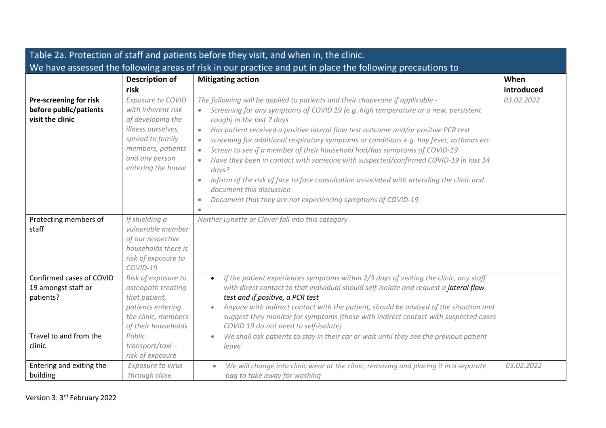|                                                                                        |                                                                                                                                                                     | Table 2a. Protection of staff and patients before they visit, and when in, the clinic.                                                                                                                                                                                                                                                                                                                                                                                                                                                                                                                                                                                                                                                                                                                     |            |
|----------------------------------------------------------------------------------------|---------------------------------------------------------------------------------------------------------------------------------------------------------------------|------------------------------------------------------------------------------------------------------------------------------------------------------------------------------------------------------------------------------------------------------------------------------------------------------------------------------------------------------------------------------------------------------------------------------------------------------------------------------------------------------------------------------------------------------------------------------------------------------------------------------------------------------------------------------------------------------------------------------------------------------------------------------------------------------------|------------|
|                                                                                        |                                                                                                                                                                     | We have assessed the following areas of risk in our practice and put in place the following precautions to                                                                                                                                                                                                                                                                                                                                                                                                                                                                                                                                                                                                                                                                                                 |            |
|                                                                                        | <b>Description of</b>                                                                                                                                               | <b>Mitigating action</b>                                                                                                                                                                                                                                                                                                                                                                                                                                                                                                                                                                                                                                                                                                                                                                                   | When       |
|                                                                                        | risk                                                                                                                                                                |                                                                                                                                                                                                                                                                                                                                                                                                                                                                                                                                                                                                                                                                                                                                                                                                            | introduced |
| Pre-screening for risk<br>before public/patients<br>visit the clinic                   | Exposure to COVID<br>with inherent risk<br>of developing the<br>illness ourselves,<br>spread to family<br>members, patients<br>and any person<br>entering the house | The following will be applied to patients and their chaperone if applicable -<br>Screening for any symptoms of COVID 19 (e.g. high temperature or a new, persistent<br>cough) in the last 7 days<br>Has patient received a positive lateral flow test outcome and/or positive PCR test<br>$\bullet$<br>screening for additional respiratory symptoms or conditions e.g. hay fever, asthmas etc<br>$\bullet$<br>Screen to see if a member of their household had/has symptoms of COVID-19<br>$\bullet$<br>Have they been in contact with someone with suspected/confirmed COVID-19 in last 14<br>$\bullet$<br>days?<br>Inform of the risk of face to face consultation associated with attending the clinic and<br>document this discussion<br>Document that they are not experiencing symptoms of COVID-19 | 03.02.2022 |
| Protecting members of<br>staff                                                         | If shielding a<br>vulnerable member<br>of our respective<br>households there is<br>risk of exposure to<br>COVID-19                                                  | Neither Lynette or Clover fall into this category                                                                                                                                                                                                                                                                                                                                                                                                                                                                                                                                                                                                                                                                                                                                                          |            |
| Confirmed cases of COVID<br>19 amongst staff or<br>patients?<br>Travel to and from the | Risk of exposure to<br>osteopath treating<br>that patient,<br>patients entering<br>the clinic, members<br>of their households<br>Public                             | If the patient experiences symptoms within 2/3 days of visiting the clinic, any staff<br>$\bullet$<br>with direct contact to that individual should self-isolate and request a lateral flow<br>test and if positive, a PCR test<br>Anyone with indirect contact with the patient, should be advised of the situation and<br>suggest they monitor for symptoms (those with indirect contact with suspected cases<br>COVID 19 do not need to self-isolate)                                                                                                                                                                                                                                                                                                                                                   |            |
| clinic                                                                                 | transport/taxi-<br>risk of exposure                                                                                                                                 | We shall ask patients to stay in their car or wait until they see the previous patient<br>$\bullet$<br>leave                                                                                                                                                                                                                                                                                                                                                                                                                                                                                                                                                                                                                                                                                               |            |
| Entering and exiting the<br>building                                                   | Exposure to virus<br>through close                                                                                                                                  | We will change into clinic wear at the clinic, removing and placing it in a separate<br>$\bullet$<br>bag to take away for washing                                                                                                                                                                                                                                                                                                                                                                                                                                                                                                                                                                                                                                                                          | 03.02.2022 |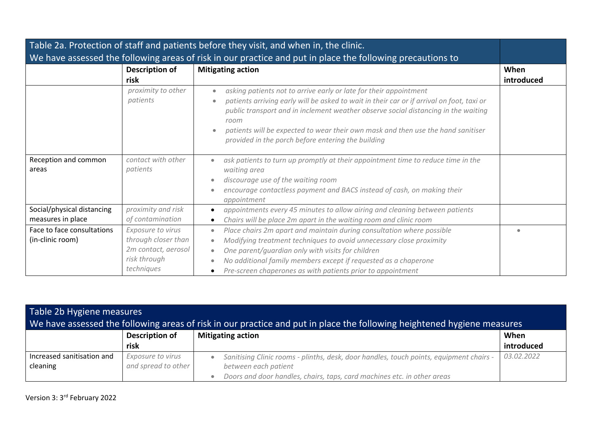|                                                                                                            |                                                                                               | Table 2a. Protection of staff and patients before they visit, and when in, the clinic.                                                                                                                                                                                                                                                                                                                 |                    |
|------------------------------------------------------------------------------------------------------------|-----------------------------------------------------------------------------------------------|--------------------------------------------------------------------------------------------------------------------------------------------------------------------------------------------------------------------------------------------------------------------------------------------------------------------------------------------------------------------------------------------------------|--------------------|
| We have assessed the following areas of risk in our practice and put in place the following precautions to |                                                                                               |                                                                                                                                                                                                                                                                                                                                                                                                        |                    |
|                                                                                                            | <b>Description of</b><br>risk                                                                 | <b>Mitigating action</b>                                                                                                                                                                                                                                                                                                                                                                               | When<br>introduced |
|                                                                                                            | proximity to other<br>patients                                                                | asking patients not to arrive early or late for their appointment<br>patients arriving early will be asked to wait in their car or if arrival on foot, taxi or<br>public transport and in inclement weather observe social distancing in the waiting<br>room<br>patients will be expected to wear their own mask and then use the hand sanitiser<br>provided in the porch before entering the building |                    |
| Reception and common<br>areas                                                                              | contact with other<br>patients                                                                | ask patients to turn up promptly at their appointment time to reduce time in the<br>waiting area<br>discourage use of the waiting room<br>encourage contactless payment and BACS instead of cash, on making their<br>appointment                                                                                                                                                                       |                    |
| Social/physical distancing<br>measures in place                                                            | proximity and risk<br>of contamination                                                        | appointments every 45 minutes to allow airing and cleaning between patients<br>Chairs will be place 2m apart in the waiting room and clinic room                                                                                                                                                                                                                                                       |                    |
| Face to face consultations<br>(in-clinic room)                                                             | Exposure to virus<br>through closer than<br>2m contact, aerosol<br>risk through<br>techniques | Place chairs 2m apart and maintain during consultation where possible<br>Modifying treatment techniques to avoid unnecessary close proximity<br>One parent/quardian only with visits for children<br>No additional family members except if requested as a chaperone<br>Pre-screen chaperones as with patients prior to appointment                                                                    | $\bullet$          |

| Table 2b Hygiene measures<br>We have assessed the following areas of risk in our practice and put in place the following heightened hygiene measures |                       |                                                                                         |            |
|------------------------------------------------------------------------------------------------------------------------------------------------------|-----------------------|-----------------------------------------------------------------------------------------|------------|
|                                                                                                                                                      | <b>Description of</b> | <b>Mitigating action</b>                                                                | When       |
|                                                                                                                                                      | risk                  |                                                                                         | introduced |
| Increased sanitisation and                                                                                                                           | Exposure to virus     | Sanitising Clinic rooms - plinths, desk, door handles, touch points, equipment chairs - | 03.02.2022 |
| cleaning                                                                                                                                             | and spread to other   | between each patient                                                                    |            |
|                                                                                                                                                      |                       | Doors and door handles, chairs, taps, card machines etc. in other areas                 |            |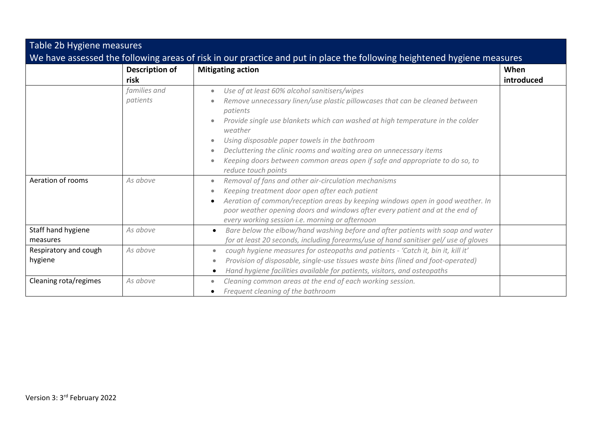| Table 2b Hygiene measures                                                                                               |                        |                                                                                                                                                                                                                   |                    |
|-------------------------------------------------------------------------------------------------------------------------|------------------------|-------------------------------------------------------------------------------------------------------------------------------------------------------------------------------------------------------------------|--------------------|
| We have assessed the following areas of risk in our practice and put in place the following heightened hygiene measures |                        |                                                                                                                                                                                                                   |                    |
|                                                                                                                         | Description of<br>risk | <b>Mitigating action</b>                                                                                                                                                                                          | When<br>introduced |
|                                                                                                                         |                        |                                                                                                                                                                                                                   |                    |
|                                                                                                                         | families and           | Use of at least 60% alcohol sanitisers/wipes<br>$\bullet$                                                                                                                                                         |                    |
|                                                                                                                         | patients               | Remove unnecessary linen/use plastic pillowcases that can be cleaned between<br>patients                                                                                                                          |                    |
|                                                                                                                         |                        | Provide single use blankets which can washed at high temperature in the colder<br>weather                                                                                                                         |                    |
|                                                                                                                         |                        | Using disposable paper towels in the bathroom<br>$\bullet$                                                                                                                                                        |                    |
|                                                                                                                         |                        | Decluttering the clinic rooms and waiting area on unnecessary items<br>۰                                                                                                                                          |                    |
|                                                                                                                         |                        | Keeping doors between common areas open if safe and appropriate to do so, to<br>$\bullet$                                                                                                                         |                    |
|                                                                                                                         |                        | reduce touch points                                                                                                                                                                                               |                    |
| Aeration of rooms                                                                                                       | As above               | Removal of fans and other air-circulation mechanisms<br>٠                                                                                                                                                         |                    |
|                                                                                                                         |                        | Keeping treatment door open after each patient<br>۰                                                                                                                                                               |                    |
|                                                                                                                         |                        | Aeration of common/reception areas by keeping windows open in good weather. In<br>poor weather opening doors and windows after every patient and at the end of<br>every working session i.e. morning or afternoon |                    |
| Staff hand hygiene                                                                                                      | As above               | Bare below the elbow/hand washing before and after patients with soap and water<br>$\bullet$                                                                                                                      |                    |
| measures                                                                                                                |                        | for at least 20 seconds, including forearms/use of hand sanitiser gel/ use of gloves                                                                                                                              |                    |
| Respiratory and cough                                                                                                   | As above               | cough hygiene measures for osteopaths and patients - 'Catch it, bin it, kill it'<br>۰                                                                                                                             |                    |
| hygiene                                                                                                                 |                        | Provision of disposable, single-use tissues waste bins (lined and foot-operated)                                                                                                                                  |                    |
|                                                                                                                         |                        | Hand hygiene facilities available for patients, visitors, and osteopaths                                                                                                                                          |                    |
| Cleaning rota/regimes                                                                                                   | As above               | Cleaning common areas at the end of each working session.<br>$\bullet$                                                                                                                                            |                    |
|                                                                                                                         |                        | Frequent cleaning of the bathroom                                                                                                                                                                                 |                    |